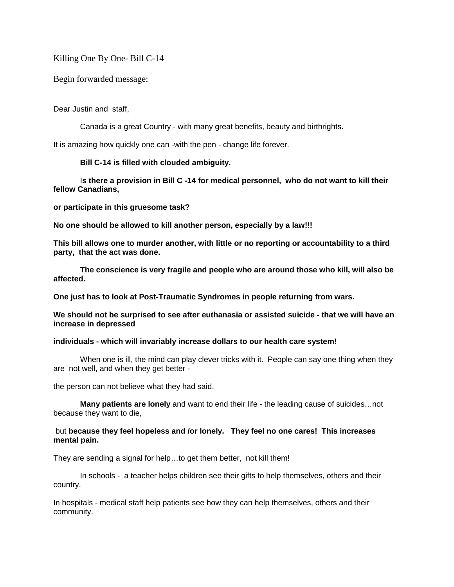Killing One By One- Bill C-14

Begin forwarded message:

Dear Justin and staff,

Canada is a great Country - with many great benefits, beauty and birthrights.

It is amazing how quickly one can -with the pen - change life forever.

# **Bill C-14 is filled with clouded ambiguity.**

I**s there a provision in Bill C -14 for medical personnel, who do not want to kill their fellow Canadians,**

**or participate in this gruesome task?**

**No one should be allowed to kill another person, especially by a law!!!**

**This bill allows one to murder another, with little or no reporting or accountability to a third party, that the act was done.**

**The conscience is very fragile and people who are around those who kill, will also be affected.**

**One just has to look at Post-Traumatic Syndromes in people returning from wars.**

**We should not be surprised to see after euthanasia or assisted suicide - that we will have an increase in depressed**

# **individuals - which will invariably increase dollars to our health care system!**

When one is ill, the mind can play clever tricks with it. People can say one thing when they are not well, and when they get better -

the person can not believe what they had said.

**Many patients are lonely** and want to end their life - the leading cause of suicides…not because they want to die,

# but **because they feel hopeless and /or lonely. They feel no one cares! This increases mental pain.**

They are sending a signal for help…to get them better, not kill them!

In schools - a teacher helps children see their gifts to help themselves, others and their country.

In hospitals - medical staff help patients see how they can help themselves, others and their community.